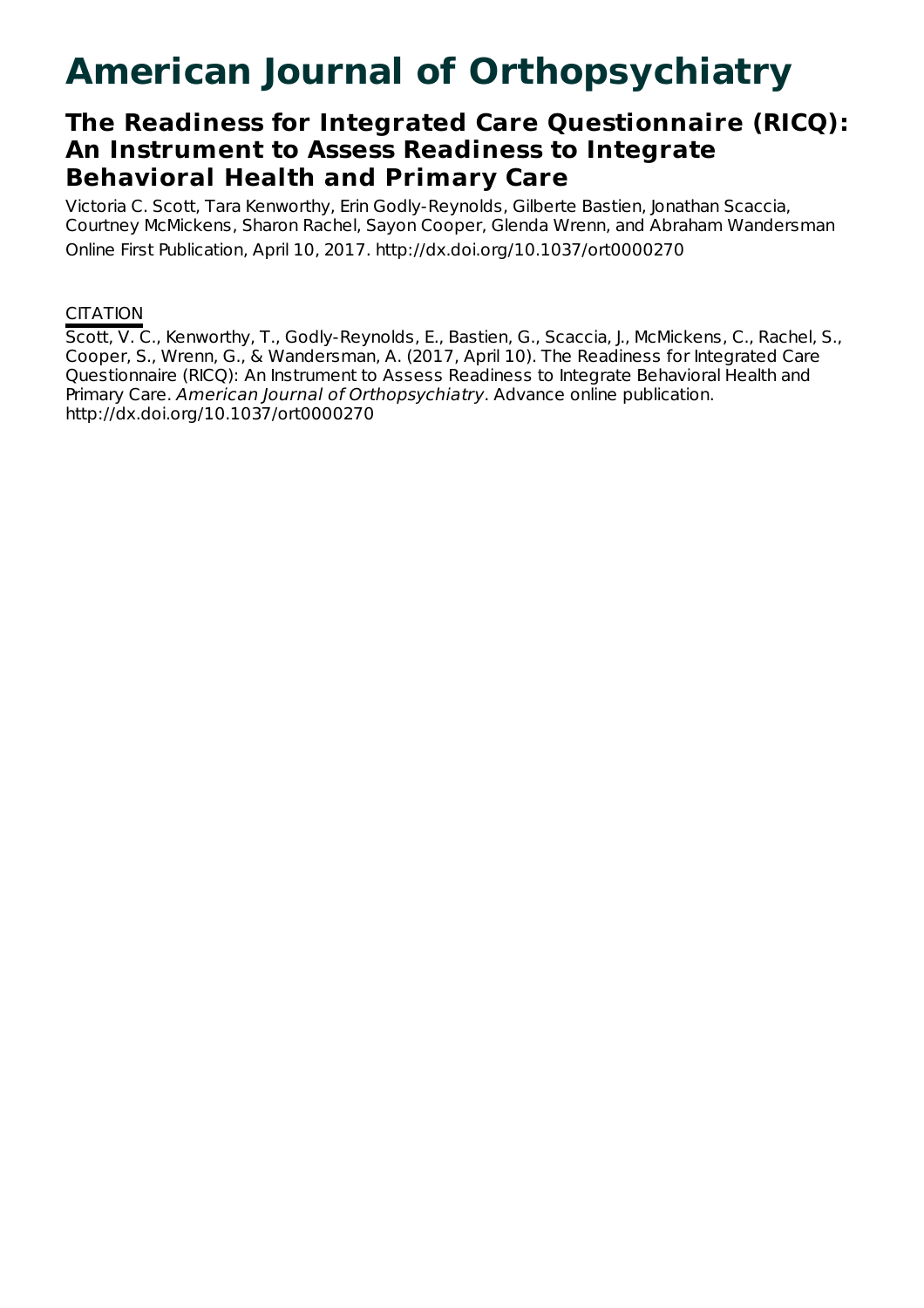# **American Journal of Orthopsychiatry**

# **The Readiness for Integrated Care Questionnaire (RICQ): An Instrument to Assess Readiness to Integrate Behavioral Health and Primary Care**

Victoria C. Scott, Tara Kenworthy, Erin Godly-Reynolds, Gilberte Bastien, Jonathan Scaccia, Courtney McMickens, Sharon Rachel, Sayon Cooper, Glenda Wrenn, and Abraham Wandersman Online First Publication, April 10, 2017. http://dx.doi.org/10.1037/ort0000270

# **CITATION**

Scott, V. C., Kenworthy, T., Godly-Reynolds, E., Bastien, G., Scaccia, J., McMickens, C., Rachel, S., Cooper, S., Wrenn, G., & Wandersman, A. (2017, April 10). The Readiness for Integrated Care Questionnaire (RICQ): An Instrument to Assess Readiness to Integrate Behavioral Health and Primary Care. American Journal of Orthopsychiatry. Advance online publication. http://dx.doi.org/10.1037/ort0000270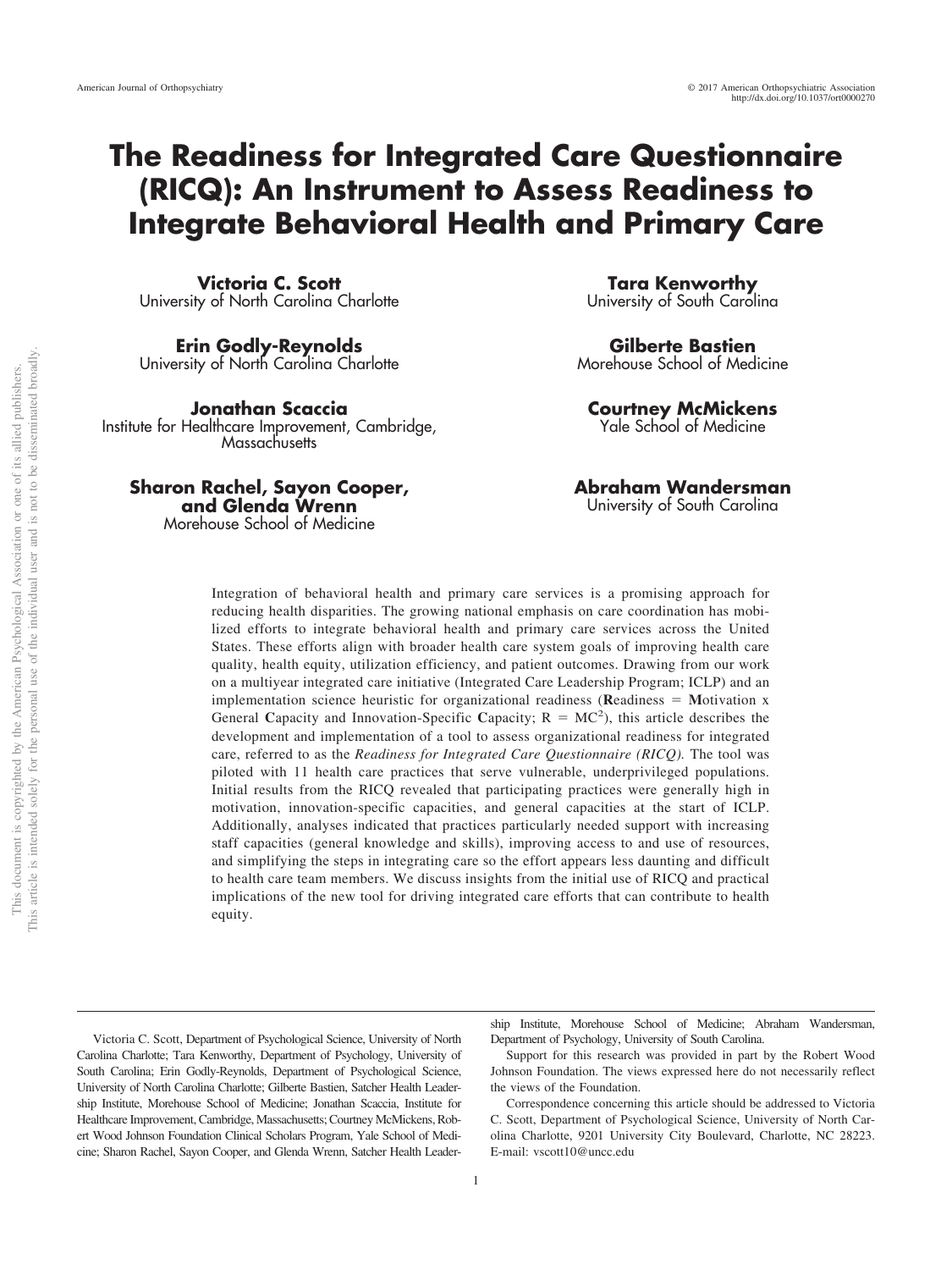# **The Readiness for Integrated Care Questionnaire (RICQ): An Instrument to Assess Readiness to Integrate Behavioral Health and Primary Care**

**Victoria C. Scott** University of North Carolina Charlotte

**Erin Godly-Reynolds** University of North Carolina Charlotte

**Jonathan Scaccia** Institute for Healthcare Improvement, Cambridge, **Massachusetts** 

**Sharon Rachel, Sayon Cooper, and Glenda Wrenn** Morehouse School of Medicine

**Tara Kenworthy** University of South Carolina

**Gilberte Bastien** Morehouse School of Medicine

**Courtney McMickens** Yale School of Medicine

# **Abraham Wandersman**

University of South Carolina

Integration of behavioral health and primary care services is a promising approach for reducing health disparities. The growing national emphasis on care coordination has mobilized efforts to integrate behavioral health and primary care services across the United States. These efforts align with broader health care system goals of improving health care quality, health equity, utilization efficiency, and patient outcomes. Drawing from our work on a multiyear integrated care initiative (Integrated Care Leadership Program; ICLP) and an implementation science heuristic for organizational readiness (Readiness = Motivation x General Capacity and Innovation-Specific Capacity;  $R = MC^2$ ), this article describes the development and implementation of a tool to assess organizational readiness for integrated care, referred to as the *Readiness for Integrated Care Questionnaire (RICQ).* The tool was piloted with 11 health care practices that serve vulnerable, underprivileged populations. Initial results from the RICQ revealed that participating practices were generally high in motivation, innovation-specific capacities, and general capacities at the start of ICLP. Additionally, analyses indicated that practices particularly needed support with increasing staff capacities (general knowledge and skills), improving access to and use of resources, and simplifying the steps in integrating care so the effort appears less daunting and difficult to health care team members. We discuss insights from the initial use of RICQ and practical implications of the new tool for driving integrated care efforts that can contribute to health equity.

Victoria C. Scott, Department of Psychological Science, University of North Carolina Charlotte; Tara Kenworthy, Department of Psychology, University of South Carolina; Erin Godly-Reynolds, Department of Psychological Science, University of North Carolina Charlotte; Gilberte Bastien, Satcher Health Leadership Institute, Morehouse School of Medicine; Jonathan Scaccia, Institute for Healthcare Improvement, Cambridge, Massachusetts; Courtney McMickens, Robert Wood Johnson Foundation Clinical Scholars Program, Yale School of Medicine; Sharon Rachel, Sayon Cooper, and Glenda Wrenn, Satcher Health Leader-

ship Institute, Morehouse School of Medicine; Abraham Wandersman, Department of Psychology, University of South Carolina.

Support for this research was provided in part by the Robert Wood Johnson Foundation. The views expressed here do not necessarily reflect the views of the Foundation.

Correspondence concerning this article should be addressed to Victoria C. Scott, Department of Psychological Science, University of North Carolina Charlotte, 9201 University City Boulevard, Charlotte, NC 28223. E-mail: [vscott10@uncc.edu](mailto:vscott10@uncc.edu)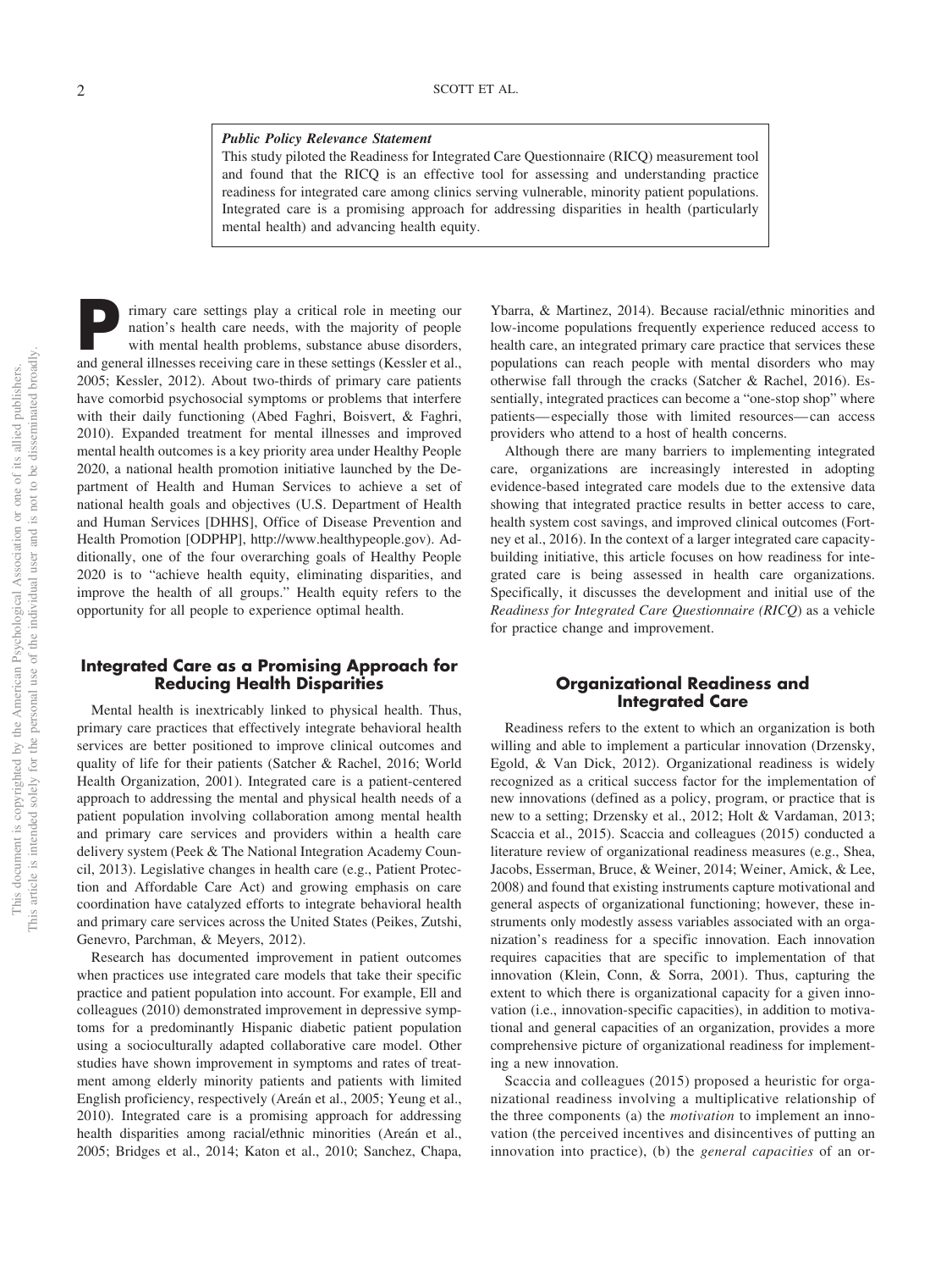#### *Public Policy Relevance Statement*

This study piloted the Readiness for Integrated Care Questionnaire (RICQ) measurement tool and found that the RICQ is an effective tool for assessing and understanding practice readiness for integrated care among clinics serving vulnerable, minority patient populations. Integrated care is a promising approach for addressing disparities in health (particularly mental health) and advancing health equity.

rimary care settings play a critical role in meeting our nation's health care needs, with the majority of people with mental health problems, substance abuse disorders, and general illnesses receiving care in these settings (Kessler et al., 2005; Kessler, 2012). About two-thirds of primary care patients have comorbid psychosocial symptoms or problems that interfere with their daily functioning (Abed Faghri, Boisvert, & Faghri, 2010). Expanded treatment for mental illnesses and improved mental health outcomes is a key priority area under Healthy People 2020, a national health promotion initiative launched by the Department of Health and Human Services to achieve a set of national health goals and objectives (U.S. Department of Health and Human Services [DHHS], Office of Disease Prevention and Health Promotion [ODPHP], [http://www.healthypeople.gov\)](http://www.healthypeople.gov). Additionally, one of the four overarching goals of Healthy People 2020 is to "achieve health equity, eliminating disparities, and improve the health of all groups." Health equity refers to the opportunity for all people to experience optimal health.

#### **Integrated Care as a Promising Approach for Reducing Health Disparities**

Mental health is inextricably linked to physical health. Thus, primary care practices that effectively integrate behavioral health services are better positioned to improve clinical outcomes and quality of life for their patients (Satcher & Rachel, 2016; World Health Organization, 2001). Integrated care is a patient-centered approach to addressing the mental and physical health needs of a patient population involving collaboration among mental health and primary care services and providers within a health care delivery system (Peek & The National Integration Academy Council, 2013). Legislative changes in health care (e.g., Patient Protection and Affordable Care Act) and growing emphasis on care coordination have catalyzed efforts to integrate behavioral health and primary care services across the United States (Peikes, Zutshi, Genevro, Parchman, & Meyers, 2012).

Research has documented improvement in patient outcomes when practices use integrated care models that take their specific practice and patient population into account. For example, Ell and colleagues (2010) demonstrated improvement in depressive symptoms for a predominantly Hispanic diabetic patient population using a socioculturally adapted collaborative care model. Other studies have shown improvement in symptoms and rates of treatment among elderly minority patients and patients with limited English proficiency, respectively (Areán et al., 2005; Yeung et al., 2010). Integrated care is a promising approach for addressing health disparities among racial/ethnic minorities (Areán et al., 2005; Bridges et al., 2014; Katon et al., 2010; Sanchez, Chapa,

Ybarra, & Martinez, 2014). Because racial/ethnic minorities and low-income populations frequently experience reduced access to health care, an integrated primary care practice that services these populations can reach people with mental disorders who may otherwise fall through the cracks (Satcher & Rachel, 2016). Essentially, integrated practices can become a "one-stop shop" where patients— especially those with limited resources— can access providers who attend to a host of health concerns.

Although there are many barriers to implementing integrated care, organizations are increasingly interested in adopting evidence-based integrated care models due to the extensive data showing that integrated practice results in better access to care, health system cost savings, and improved clinical outcomes (Fortney et al., 2016). In the context of a larger integrated care capacitybuilding initiative, this article focuses on how readiness for integrated care is being assessed in health care organizations. Specifically, it discusses the development and initial use of the *Readiness for Integrated Care Questionnaire (RICQ*) as a vehicle for practice change and improvement.

### **Organizational Readiness and Integrated Care**

Readiness refers to the extent to which an organization is both willing and able to implement a particular innovation (Drzensky, Egold, & Van Dick, 2012). Organizational readiness is widely recognized as a critical success factor for the implementation of new innovations (defined as a policy, program, or practice that is new to a setting; Drzensky et al., 2012; Holt & Vardaman, 2013; Scaccia et al., 2015). Scaccia and colleagues (2015) conducted a literature review of organizational readiness measures (e.g., Shea, Jacobs, Esserman, Bruce, & Weiner, 2014; Weiner, Amick, & Lee, 2008) and found that existing instruments capture motivational and general aspects of organizational functioning; however, these instruments only modestly assess variables associated with an organization's readiness for a specific innovation. Each innovation requires capacities that are specific to implementation of that innovation (Klein, Conn, & Sorra, 2001). Thus, capturing the extent to which there is organizational capacity for a given innovation (i.e., innovation-specific capacities), in addition to motivational and general capacities of an organization, provides a more comprehensive picture of organizational readiness for implementing a new innovation.

Scaccia and colleagues (2015) proposed a heuristic for organizational readiness involving a multiplicative relationship of the three components (a) the *motivation* to implement an innovation (the perceived incentives and disincentives of putting an innovation into practice), (b) the *general capacities* of an or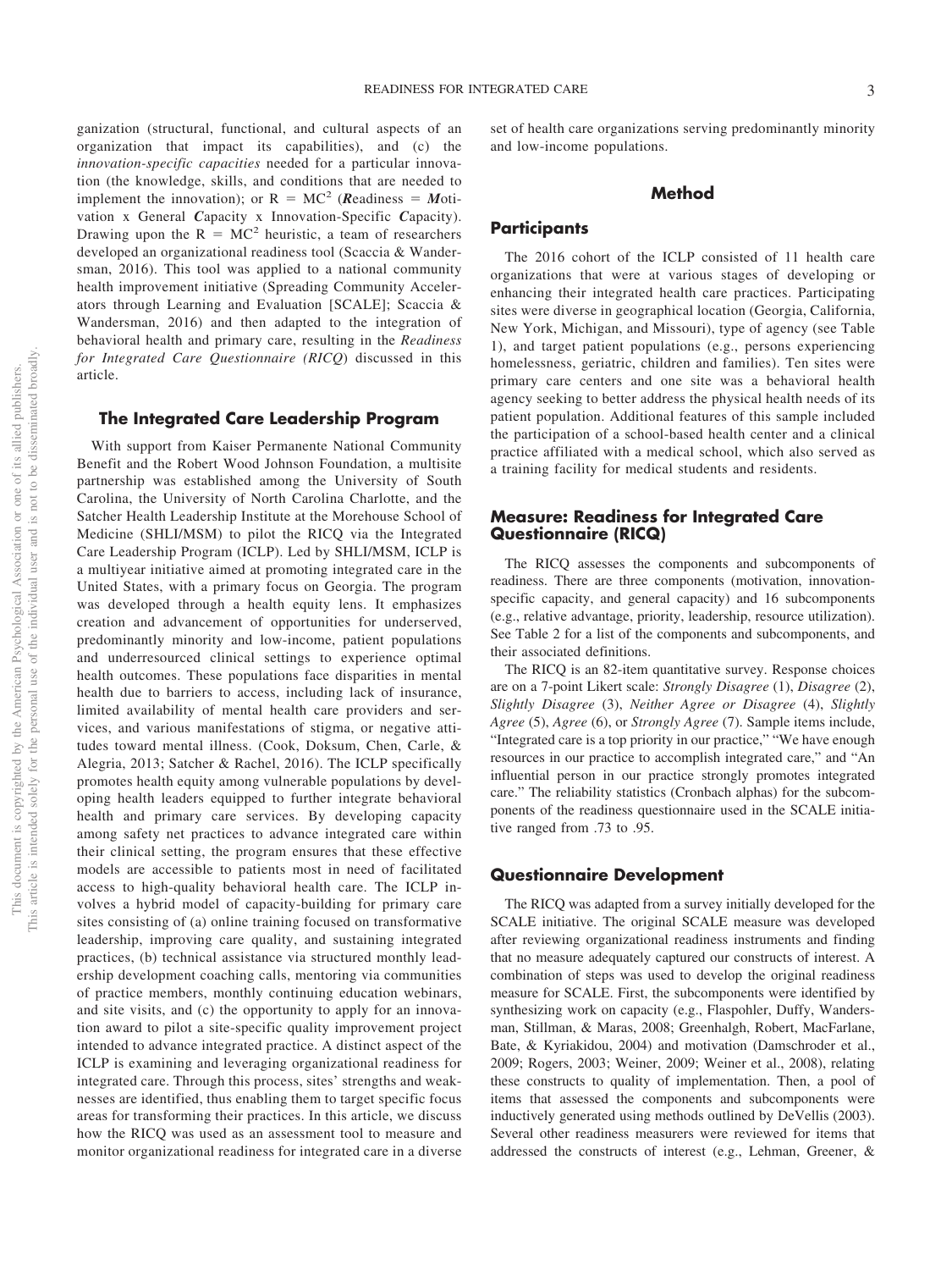ganization (structural, functional, and cultural aspects of an organization that impact its capabilities), and (c) the *innovation-specific capacities* needed for a particular innovation (the knowledge, skills, and conditions that are needed to implement the innovation); or  $R = MC^2$  (*Readiness = Moti*vation x General *C*apacity x Innovation-Specific *C*apacity). Drawing upon the  $R = MC^2$  heuristic, a team of researchers developed an organizational readiness tool (Scaccia & Wandersman, 2016). This tool was applied to a national community health improvement initiative (Spreading Community Accelerators through Learning and Evaluation [SCALE]; Scaccia & Wandersman, 2016) and then adapted to the integration of behavioral health and primary care, resulting in the *Readiness for Integrated Care Questionnaire (RICQ*) discussed in this article.

## **The Integrated Care Leadership Program**

With support from Kaiser Permanente National Community Benefit and the Robert Wood Johnson Foundation, a multisite partnership was established among the University of South Carolina, the University of North Carolina Charlotte, and the Satcher Health Leadership Institute at the Morehouse School of Medicine (SHLI/MSM) to pilot the RICQ via the Integrated Care Leadership Program (ICLP). Led by SHLI/MSM, ICLP is a multiyear initiative aimed at promoting integrated care in the United States, with a primary focus on Georgia. The program was developed through a health equity lens. It emphasizes creation and advancement of opportunities for underserved, predominantly minority and low-income, patient populations and underresourced clinical settings to experience optimal health outcomes. These populations face disparities in mental health due to barriers to access, including lack of insurance, limited availability of mental health care providers and services, and various manifestations of stigma, or negative attitudes toward mental illness. (Cook, Doksum, Chen, Carle, & Alegria, 2013; Satcher & Rachel, 2016). The ICLP specifically promotes health equity among vulnerable populations by developing health leaders equipped to further integrate behavioral health and primary care services. By developing capacity among safety net practices to advance integrated care within their clinical setting, the program ensures that these effective models are accessible to patients most in need of facilitated access to high-quality behavioral health care. The ICLP involves a hybrid model of capacity-building for primary care sites consisting of (a) online training focused on transformative leadership, improving care quality, and sustaining integrated practices, (b) technical assistance via structured monthly leadership development coaching calls, mentoring via communities of practice members, monthly continuing education webinars, and site visits, and (c) the opportunity to apply for an innovation award to pilot a site-specific quality improvement project intended to advance integrated practice. A distinct aspect of the ICLP is examining and leveraging organizational readiness for integrated care. Through this process, sites' strengths and weaknesses are identified, thus enabling them to target specific focus areas for transforming their practices. In this article, we discuss how the RICQ was used as an assessment tool to measure and monitor organizational readiness for integrated care in a diverse

set of health care organizations serving predominantly minority and low-income populations.

# **Method**

### **Participants**

The 2016 cohort of the ICLP consisted of 11 health care organizations that were at various stages of developing or enhancing their integrated health care practices. Participating sites were diverse in geographical location (Georgia, California, New York, Michigan, and Missouri), type of agency (see Table 1), and target patient populations (e.g., persons experiencing homelessness, geriatric, children and families). Ten sites were primary care centers and one site was a behavioral health agency seeking to better address the physical health needs of its patient population. Additional features of this sample included the participation of a school-based health center and a clinical practice affiliated with a medical school, which also served as a training facility for medical students and residents.

# **Measure: Readiness for Integrated Care Questionnaire (RICQ)**

The RICQ assesses the components and subcomponents of readiness. There are three components (motivation, innovationspecific capacity, and general capacity) and 16 subcomponents (e.g., relative advantage, priority, leadership, resource utilization). See Table 2 for a list of the components and subcomponents, and their associated definitions.

The RICQ is an 82-item quantitative survey. Response choices are on a 7-point Likert scale: *Strongly Disagree* (1), *Disagree* (2), *Slightly Disagree* (3), *Neither Agree or Disagree* (4), *Slightly Agree* (5), *Agree* (6), or *Strongly Agree* (7). Sample items include, "Integrated care is a top priority in our practice," "We have enough resources in our practice to accomplish integrated care," and "An influential person in our practice strongly promotes integrated care." The reliability statistics (Cronbach alphas) for the subcomponents of the readiness questionnaire used in the SCALE initiative ranged from .73 to .95.

### **Questionnaire Development**

The RICQ was adapted from a survey initially developed for the SCALE initiative. The original SCALE measure was developed after reviewing organizational readiness instruments and finding that no measure adequately captured our constructs of interest. A combination of steps was used to develop the original readiness measure for SCALE. First, the subcomponents were identified by synthesizing work on capacity (e.g., Flaspohler, Duffy, Wandersman, Stillman, & Maras, 2008; Greenhalgh, Robert, MacFarlane, Bate, & Kyriakidou, 2004) and motivation (Damschroder et al., 2009; Rogers, 2003; Weiner, 2009; Weiner et al., 2008), relating these constructs to quality of implementation. Then, a pool of items that assessed the components and subcomponents were inductively generated using methods outlined by DeVellis (2003). Several other readiness measurers were reviewed for items that addressed the constructs of interest (e.g., Lehman, Greener, &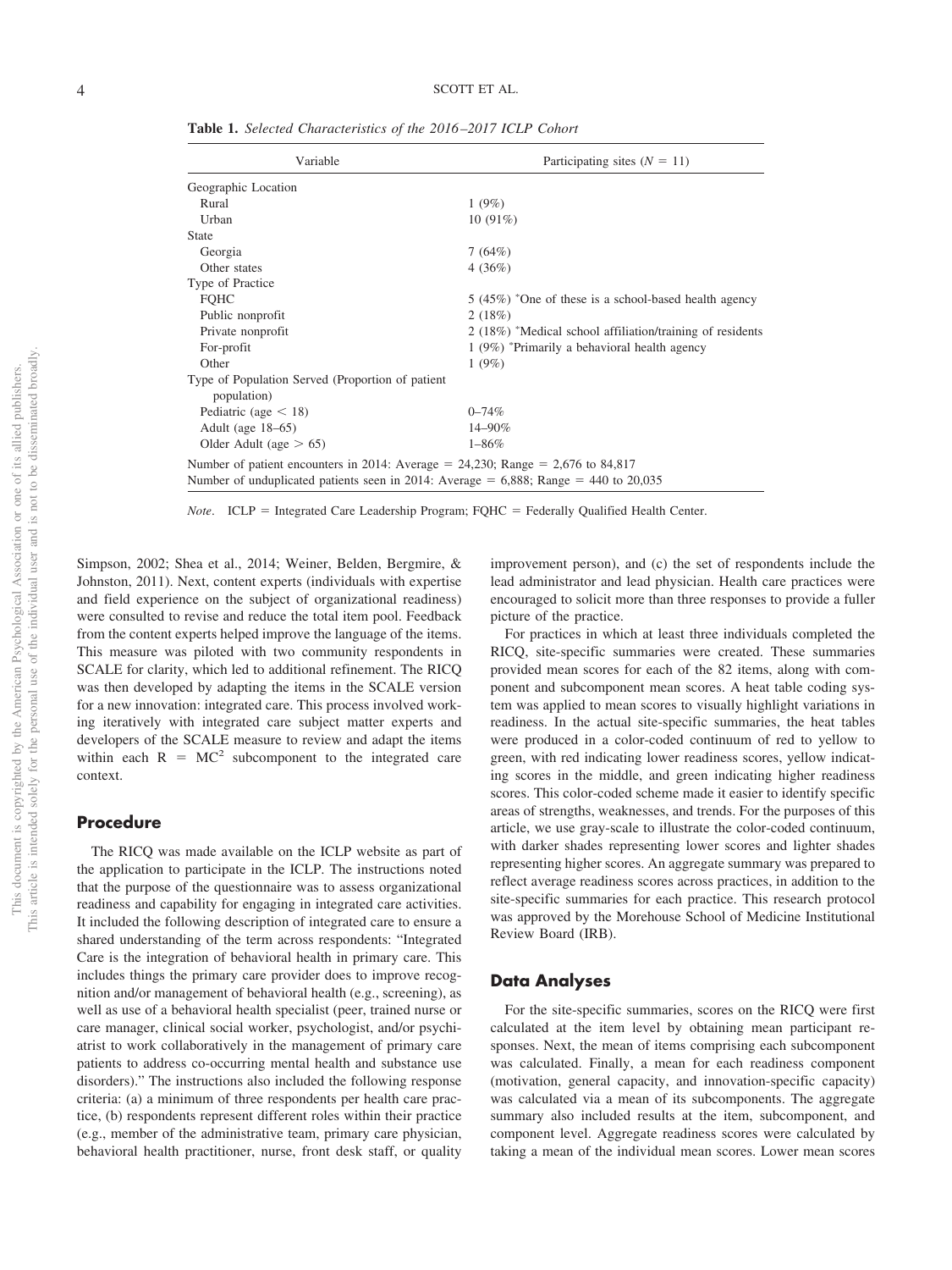**Table 1.** *Selected Characteristics of the 2016 –2017 ICLP Cohort*

| Variable                                                                                                                                                                   | Participating sites $(N = 11)$                            |  |  |
|----------------------------------------------------------------------------------------------------------------------------------------------------------------------------|-----------------------------------------------------------|--|--|
| Geographic Location                                                                                                                                                        |                                                           |  |  |
| Rural                                                                                                                                                                      | 1(9%)                                                     |  |  |
| Urban                                                                                                                                                                      | $10(91\%)$                                                |  |  |
| <b>State</b>                                                                                                                                                               |                                                           |  |  |
| Georgia                                                                                                                                                                    | 7(64%)                                                    |  |  |
| Other states                                                                                                                                                               | 4(36%)                                                    |  |  |
| Type of Practice                                                                                                                                                           |                                                           |  |  |
| <b>FQHC</b>                                                                                                                                                                | 5 (45%) *One of these is a school-based health agency     |  |  |
| Public nonprofit                                                                                                                                                           | 2(18%)                                                    |  |  |
| Private nonprofit                                                                                                                                                          | 2 (18%) *Medical school affiliation/training of residents |  |  |
| For-profit                                                                                                                                                                 | 1 (9%) *Primarily a behavioral health agency              |  |  |
| Other                                                                                                                                                                      | 1(9%)                                                     |  |  |
| Type of Population Served (Proportion of patient<br>population)                                                                                                            |                                                           |  |  |
| Pediatric (age $\leq$ 18)                                                                                                                                                  | $0 - 74%$                                                 |  |  |
| Adult (age $18-65$ )                                                                                                                                                       | 14–90%                                                    |  |  |
| Older Adult (age $> 65$ )                                                                                                                                                  | $1 - 86\%$                                                |  |  |
| Number of patient encounters in 2014: Average = 24,230; Range = 2,676 to 84,817<br>Number of unduplicated patients seen in 2014: Average = $6,888$ ; Range = 440 to 20,035 |                                                           |  |  |

Note. ICLP = Integrated Care Leadership Program; FQHC = Federally Qualified Health Center.

Simpson, 2002; Shea et al., 2014; Weiner, Belden, Bergmire, & Johnston, 2011). Next, content experts (individuals with expertise and field experience on the subject of organizational readiness) were consulted to revise and reduce the total item pool. Feedback from the content experts helped improve the language of the items. This measure was piloted with two community respondents in SCALE for clarity, which led to additional refinement. The RICQ was then developed by adapting the items in the SCALE version for a new innovation: integrated care. This process involved working iteratively with integrated care subject matter experts and developers of the SCALE measure to review and adapt the items within each  $R = MC^2$  subcomponent to the integrated care context.

# **Procedure**

The RICQ was made available on the ICLP website as part of the application to participate in the ICLP. The instructions noted that the purpose of the questionnaire was to assess organizational readiness and capability for engaging in integrated care activities. It included the following description of integrated care to ensure a shared understanding of the term across respondents: "Integrated Care is the integration of behavioral health in primary care. This includes things the primary care provider does to improve recognition and/or management of behavioral health (e.g., screening), as well as use of a behavioral health specialist (peer, trained nurse or care manager, clinical social worker, psychologist, and/or psychiatrist to work collaboratively in the management of primary care patients to address co-occurring mental health and substance use disorders)." The instructions also included the following response criteria: (a) a minimum of three respondents per health care practice, (b) respondents represent different roles within their practice (e.g., member of the administrative team, primary care physician, behavioral health practitioner, nurse, front desk staff, or quality

improvement person), and (c) the set of respondents include the lead administrator and lead physician. Health care practices were encouraged to solicit more than three responses to provide a fuller picture of the practice.

For practices in which at least three individuals completed the RICQ, site-specific summaries were created. These summaries provided mean scores for each of the 82 items, along with component and subcomponent mean scores. A heat table coding system was applied to mean scores to visually highlight variations in readiness. In the actual site-specific summaries, the heat tables were produced in a color-coded continuum of red to yellow to green, with red indicating lower readiness scores, yellow indicating scores in the middle, and green indicating higher readiness scores. This color-coded scheme made it easier to identify specific areas of strengths, weaknesses, and trends. For the purposes of this article, we use gray-scale to illustrate the color-coded continuum, with darker shades representing lower scores and lighter shades representing higher scores. An aggregate summary was prepared to reflect average readiness scores across practices, in addition to the site-specific summaries for each practice. This research protocol was approved by the Morehouse School of Medicine Institutional Review Board (IRB).

#### **Data Analyses**

For the site-specific summaries, scores on the RICQ were first calculated at the item level by obtaining mean participant responses. Next, the mean of items comprising each subcomponent was calculated. Finally, a mean for each readiness component (motivation, general capacity, and innovation-specific capacity) was calculated via a mean of its subcomponents. The aggregate summary also included results at the item, subcomponent, and component level. Aggregate readiness scores were calculated by taking a mean of the individual mean scores. Lower mean scores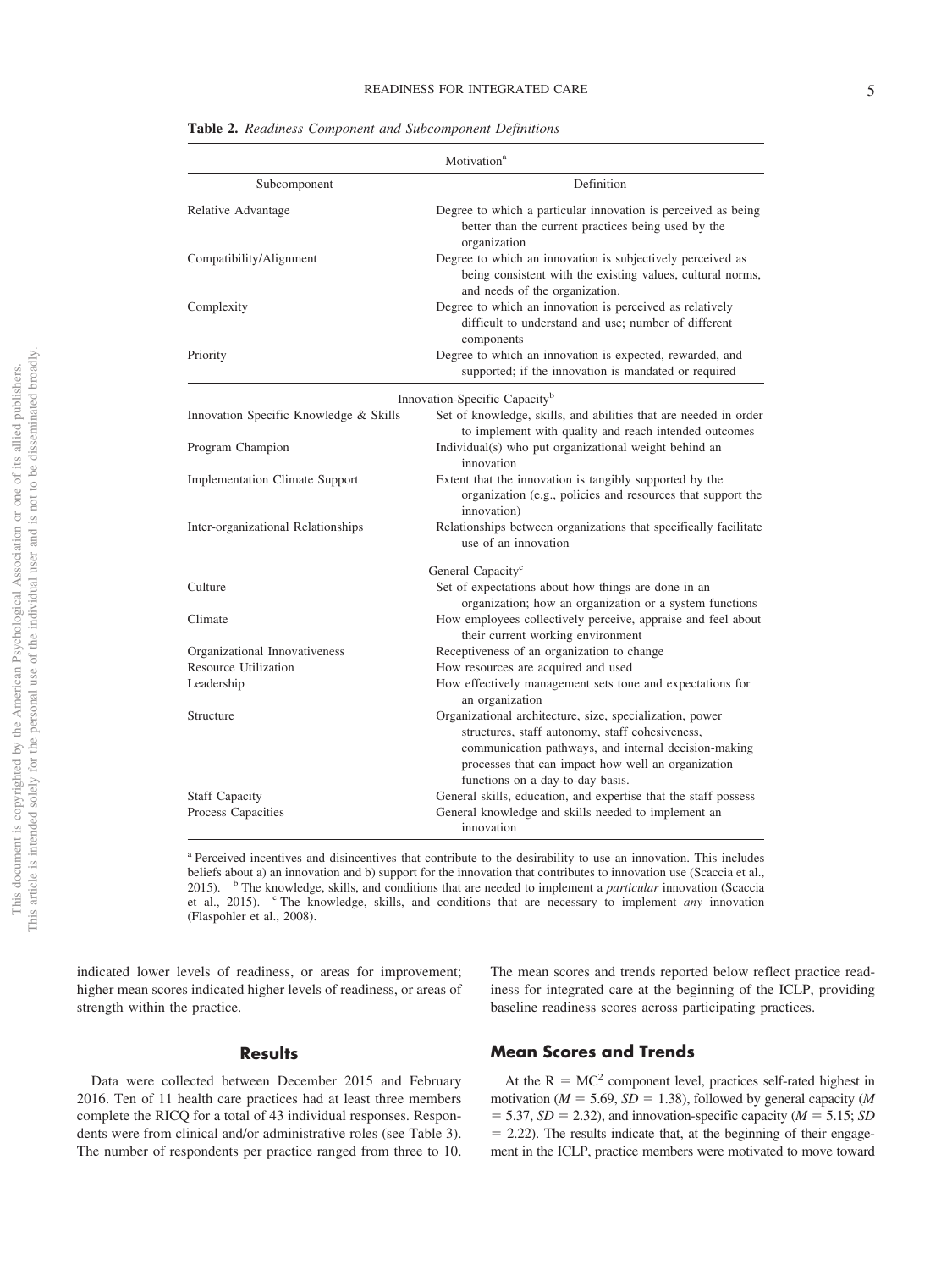|                                           | Motivation <sup>a</sup>                                                                                                                                                                                                                                       |  |  |  |  |
|-------------------------------------------|---------------------------------------------------------------------------------------------------------------------------------------------------------------------------------------------------------------------------------------------------------------|--|--|--|--|
| Subcomponent                              | Definition                                                                                                                                                                                                                                                    |  |  |  |  |
| Relative Advantage                        | Degree to which a particular innovation is perceived as being<br>better than the current practices being used by the<br>organization                                                                                                                          |  |  |  |  |
| Compatibility/Alignment                   | Degree to which an innovation is subjectively perceived as<br>being consistent with the existing values, cultural norms,<br>and needs of the organization.                                                                                                    |  |  |  |  |
| Complexity                                | Degree to which an innovation is perceived as relatively<br>difficult to understand and use; number of different<br>components                                                                                                                                |  |  |  |  |
| Priority                                  | Degree to which an innovation is expected, rewarded, and<br>supported; if the innovation is mandated or required                                                                                                                                              |  |  |  |  |
| Innovation-Specific Capacity <sup>b</sup> |                                                                                                                                                                                                                                                               |  |  |  |  |
| Innovation Specific Knowledge & Skills    | Set of knowledge, skills, and abilities that are needed in order<br>to implement with quality and reach intended outcomes                                                                                                                                     |  |  |  |  |
| Program Champion                          | Individual(s) who put organizational weight behind an<br>innovation                                                                                                                                                                                           |  |  |  |  |
| <b>Implementation Climate Support</b>     | Extent that the innovation is tangibly supported by the<br>organization (e.g., policies and resources that support the<br>innovation)                                                                                                                         |  |  |  |  |
| Inter-organizational Relationships        | Relationships between organizations that specifically facilitate<br>use of an innovation                                                                                                                                                                      |  |  |  |  |
|                                           | General Capacity <sup>c</sup>                                                                                                                                                                                                                                 |  |  |  |  |
| Culture                                   | Set of expectations about how things are done in an<br>organization; how an organization or a system functions                                                                                                                                                |  |  |  |  |
| Climate                                   | How employees collectively perceive, appraise and feel about<br>their current working environment                                                                                                                                                             |  |  |  |  |
| Organizational Innovativeness             | Receptiveness of an organization to change                                                                                                                                                                                                                    |  |  |  |  |
| Resource Utilization                      | How resources are acquired and used                                                                                                                                                                                                                           |  |  |  |  |
| Leadership                                | How effectively management sets tone and expectations for<br>an organization                                                                                                                                                                                  |  |  |  |  |
| Structure                                 | Organizational architecture, size, specialization, power<br>structures, staff autonomy, staff cohesiveness,<br>communication pathways, and internal decision-making<br>processes that can impact how well an organization<br>functions on a day-to-day basis. |  |  |  |  |
| <b>Staff Capacity</b>                     | General skills, education, and expertise that the staff possess                                                                                                                                                                                               |  |  |  |  |
| Process Capacities                        | General knowledge and skills needed to implement an<br>innovation                                                                                                                                                                                             |  |  |  |  |

**Table 2.** *Readiness Component and Subcomponent Definitions*

<sup>a</sup> Perceived incentives and disincentives that contribute to the desirability to use an innovation. This includes beliefs about a) an innovation and b) support for the innovation that contributes to innovation use (Scaccia et al., 2015). <sup>b</sup> The knowledge, skills, and conditions that are needed to implement a *particular* innovation (Scaccia et al., 2015). <sup>c</sup> The knowledge, skills, and conditions that are necessary to implement *any* innovation (Flaspohler et al., 2008).

indicated lower levels of readiness, or areas for improvement; higher mean scores indicated higher levels of readiness, or areas of strength within the practice.

#### The mean scores and trends reported below reflect practice readiness for integrated care at the beginning of the ICLP, providing baseline readiness scores across participating practices.

#### **Results**

Data were collected between December 2015 and February 2016. Ten of 11 health care practices had at least three members complete the RICQ for a total of 43 individual responses. Respondents were from clinical and/or administrative roles (see Table 3). The number of respondents per practice ranged from three to 10.

# **Mean Scores and Trends**

At the  $R = MC^2$  component level, practices self-rated highest in motivation ( $M = 5.69$ ,  $SD = 1.38$ ), followed by general capacity ( $M$  $=$  5.37, *SD* = 2.32), and innovation-specific capacity ( $M = 5.15$ ; *SD*  $= 2.22$ ). The results indicate that, at the beginning of their engagement in the ICLP, practice members were motivated to move toward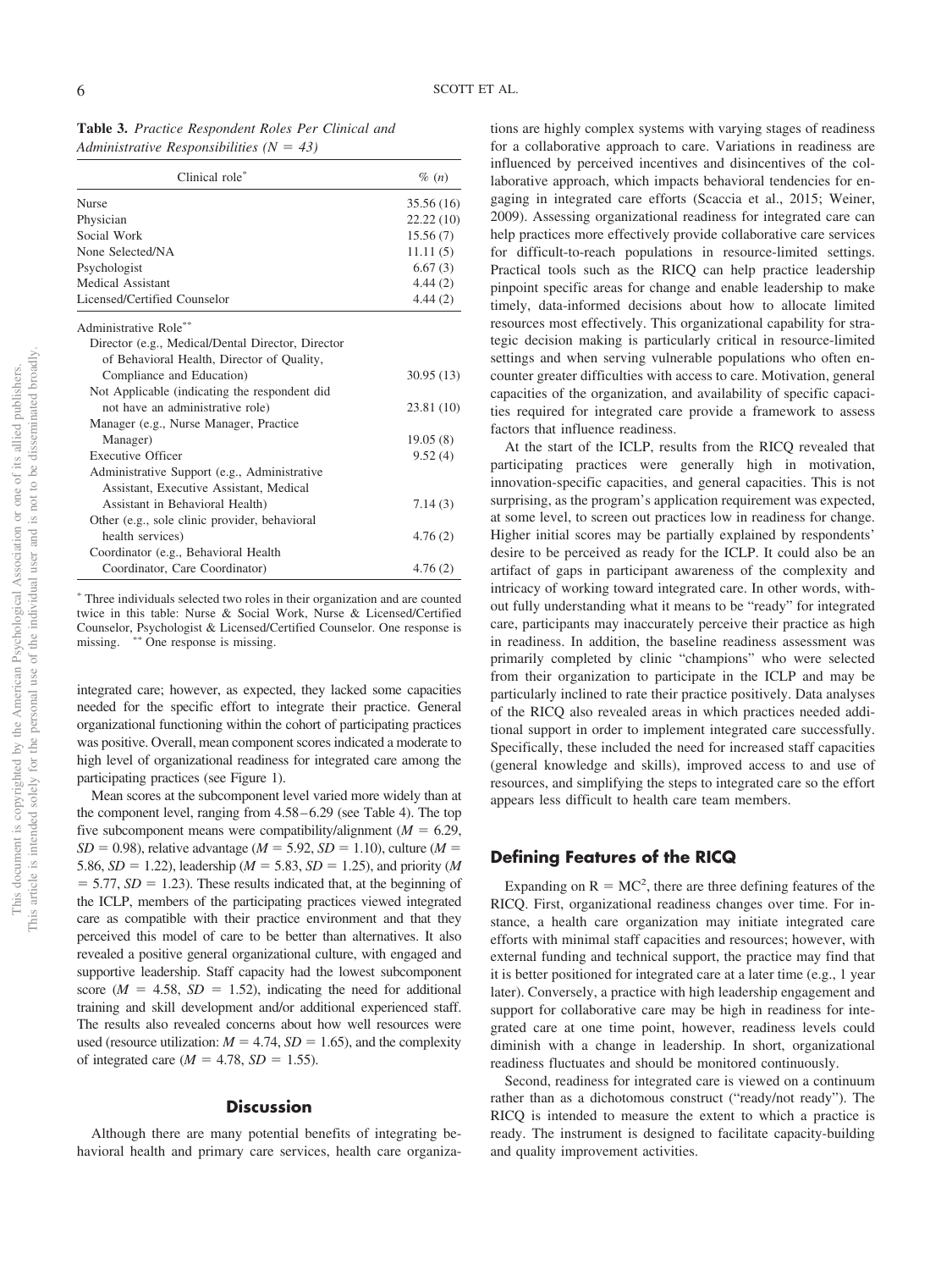| Table 3. Practice Respondent Roles Per Clinical and |  |
|-----------------------------------------------------|--|
| Administrative Responsibilities ( $N = 43$ )        |  |

| Clinical role*                                    | $\%$ $(n)$ |
|---------------------------------------------------|------------|
| Nurse                                             | 35.56 (16) |
| Physician                                         | 22.22(10)  |
| Social Work                                       | 15.56(7)   |
| None Selected/NA                                  | 11.11(5)   |
| Psychologist                                      | 6.67(3)    |
| Medical Assistant                                 | 4.44(2)    |
| Licensed/Certified Counselor                      | 4.44(2)    |
| Administrative Role**                             |            |
| Director (e.g., Medical/Dental Director, Director |            |
| of Behavioral Health, Director of Quality,        |            |
| Compliance and Education)                         | 30.95(13)  |
| Not Applicable (indicating the respondent did     |            |
| not have an administrative role)                  | 23.81 (10) |
| Manager (e.g., Nurse Manager, Practice            |            |
| Manager)                                          | 19.05(8)   |
| <b>Executive Officer</b>                          | 9.52(4)    |
| Administrative Support (e.g., Administrative      |            |
| Assistant, Executive Assistant, Medical           |            |
| Assistant in Behavioral Health)                   | 7.14(3)    |
| Other (e.g., sole clinic provider, behavioral     |            |
| health services)                                  | 4.76(2)    |
| Coordinator (e.g., Behavioral Health              |            |
| Coordinator, Care Coordinator)                    | 4.76(2)    |

- Three individuals selected two roles in their organization and are counted twice in this table: Nurse & Social Work, Nurse & Licensed/Certified Counselor, Psychologist & Licensed/Certified Counselor. One response is missing. \* One response is missing.

integrated care; however, as expected, they lacked some capacities needed for the specific effort to integrate their practice. General organizational functioning within the cohort of participating practices was positive. Overall, mean component scores indicated a moderate to high level of organizational readiness for integrated care among the participating practices (see [Figure 1\)](#page-7-0).

Mean scores at the subcomponent level varied more widely than at the component level, ranging from 4.58 – 6.29 (see [Table 4\)](#page-8-0). The top five subcomponent means were compatibility/alignment ( $M = 6.29$ ,  $SD = 0.98$ ), relative advantage ( $M = 5.92$ ,  $SD = 1.10$ ), culture ( $M =$ 5.86,  $SD = 1.22$ ), leadership ( $M = 5.83$ ,  $SD = 1.25$ ), and priority ( $M$  $=$  5.77, *SD*  $=$  1.23). These results indicated that, at the beginning of the ICLP, members of the participating practices viewed integrated care as compatible with their practice environment and that they perceived this model of care to be better than alternatives. It also revealed a positive general organizational culture, with engaged and supportive leadership. Staff capacity had the lowest subcomponent score ( $M = 4.58$ ,  $SD = 1.52$ ), indicating the need for additional training and skill development and/or additional experienced staff. The results also revealed concerns about how well resources were used (resource utilization:  $M = 4.74$ ,  $SD = 1.65$ ), and the complexity of integrated care  $(M = 4.78, SD = 1.55)$ .

#### **Discussion**

Although there are many potential benefits of integrating behavioral health and primary care services, health care organizations are highly complex systems with varying stages of readiness for a collaborative approach to care. Variations in readiness are influenced by perceived incentives and disincentives of the collaborative approach, which impacts behavioral tendencies for engaging in integrated care efforts (Scaccia et al., 2015; Weiner, 2009). Assessing organizational readiness for integrated care can help practices more effectively provide collaborative care services for difficult-to-reach populations in resource-limited settings. Practical tools such as the RICQ can help practice leadership pinpoint specific areas for change and enable leadership to make timely, data-informed decisions about how to allocate limited resources most effectively. This organizational capability for strategic decision making is particularly critical in resource-limited settings and when serving vulnerable populations who often encounter greater difficulties with access to care. Motivation, general capacities of the organization, and availability of specific capacities required for integrated care provide a framework to assess factors that influence readiness.

At the start of the ICLP, results from the RICQ revealed that participating practices were generally high in motivation, innovation-specific capacities, and general capacities. This is not surprising, as the program's application requirement was expected, at some level, to screen out practices low in readiness for change. Higher initial scores may be partially explained by respondents' desire to be perceived as ready for the ICLP. It could also be an artifact of gaps in participant awareness of the complexity and intricacy of working toward integrated care. In other words, without fully understanding what it means to be "ready" for integrated care, participants may inaccurately perceive their practice as high in readiness. In addition, the baseline readiness assessment was primarily completed by clinic "champions" who were selected from their organization to participate in the ICLP and may be particularly inclined to rate their practice positively. Data analyses of the RICQ also revealed areas in which practices needed additional support in order to implement integrated care successfully. Specifically, these included the need for increased staff capacities (general knowledge and skills), improved access to and use of resources, and simplifying the steps to integrated care so the effort appears less difficult to health care team members.

# **Defining Features of the RICQ**

Expanding on  $R = MC^2$ , there are three defining features of the RICQ. First, organizational readiness changes over time. For instance, a health care organization may initiate integrated care efforts with minimal staff capacities and resources; however, with external funding and technical support, the practice may find that it is better positioned for integrated care at a later time (e.g., 1 year later). Conversely, a practice with high leadership engagement and support for collaborative care may be high in readiness for integrated care at one time point, however, readiness levels could diminish with a change in leadership. In short, organizational readiness fluctuates and should be monitored continuously.

Second, readiness for integrated care is viewed on a continuum rather than as a dichotomous construct ("ready/not ready"). The RICQ is intended to measure the extent to which a practice is ready. The instrument is designed to facilitate capacity-building and quality improvement activities.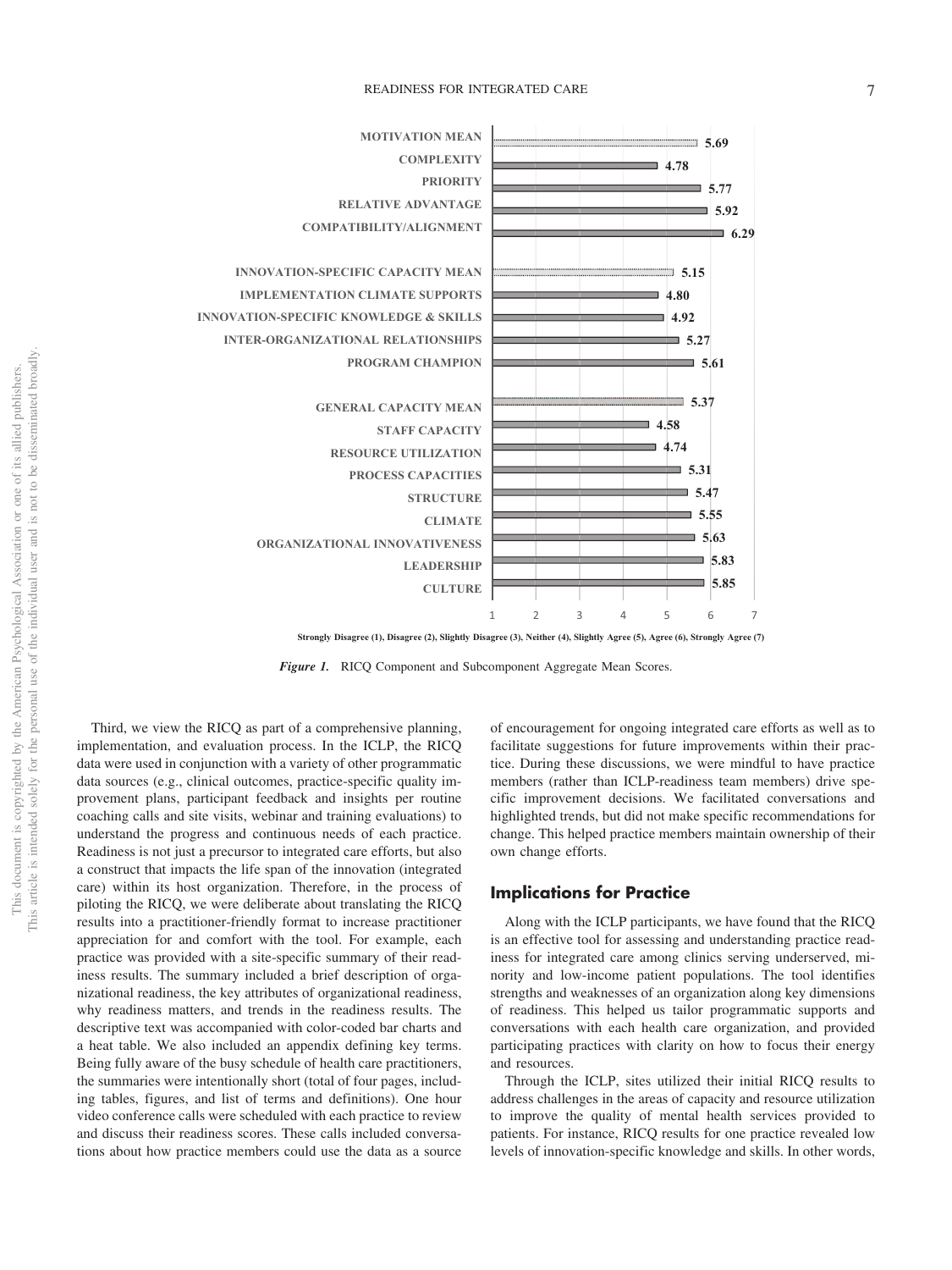

**Strongly Disagree (1), Disagree (2), Slightly Disagree (3), Neither (4), Slightly Agree (5), Agree (6), Strongly Agree (7)**

<span id="page-7-0"></span>*Figure 1.* RICQ Component and Subcomponent Aggregate Mean Scores.

Third, we view the RICQ as part of a comprehensive planning, implementation, and evaluation process. In the ICLP, the RICQ data were used in conjunction with a variety of other programmatic data sources (e.g., clinical outcomes, practice-specific quality improvement plans, participant feedback and insights per routine coaching calls and site visits, webinar and training evaluations) to understand the progress and continuous needs of each practice. Readiness is not just a precursor to integrated care efforts, but also a construct that impacts the life span of the innovation (integrated care) within its host organization. Therefore, in the process of piloting the RICQ, we were deliberate about translating the RICQ results into a practitioner-friendly format to increase practitioner appreciation for and comfort with the tool. For example, each practice was provided with a site-specific summary of their readiness results. The summary included a brief description of organizational readiness, the key attributes of organizational readiness, why readiness matters, and trends in the readiness results. The descriptive text was accompanied with color-coded bar charts and a heat table. We also included an appendix defining key terms. Being fully aware of the busy schedule of health care practitioners, the summaries were intentionally short (total of four pages, including tables, figures, and list of terms and definitions). One hour video conference calls were scheduled with each practice to review and discuss their readiness scores. These calls included conversations about how practice members could use the data as a source

of encouragement for ongoing integrated care efforts as well as to facilitate suggestions for future improvements within their practice. During these discussions, we were mindful to have practice members (rather than ICLP-readiness team members) drive specific improvement decisions. We facilitated conversations and highlighted trends, but did not make specific recommendations for change. This helped practice members maintain ownership of their own change efforts.

# **Implications for Practice**

Along with the ICLP participants, we have found that the RICQ is an effective tool for assessing and understanding practice readiness for integrated care among clinics serving underserved, minority and low-income patient populations. The tool identifies strengths and weaknesses of an organization along key dimensions of readiness. This helped us tailor programmatic supports and conversations with each health care organization, and provided participating practices with clarity on how to focus their energy and resources.

Through the ICLP, sites utilized their initial RICQ results to address challenges in the areas of capacity and resource utilization to improve the quality of mental health services provided to patients. For instance, RICQ results for one practice revealed low levels of innovation-specific knowledge and skills. In other words,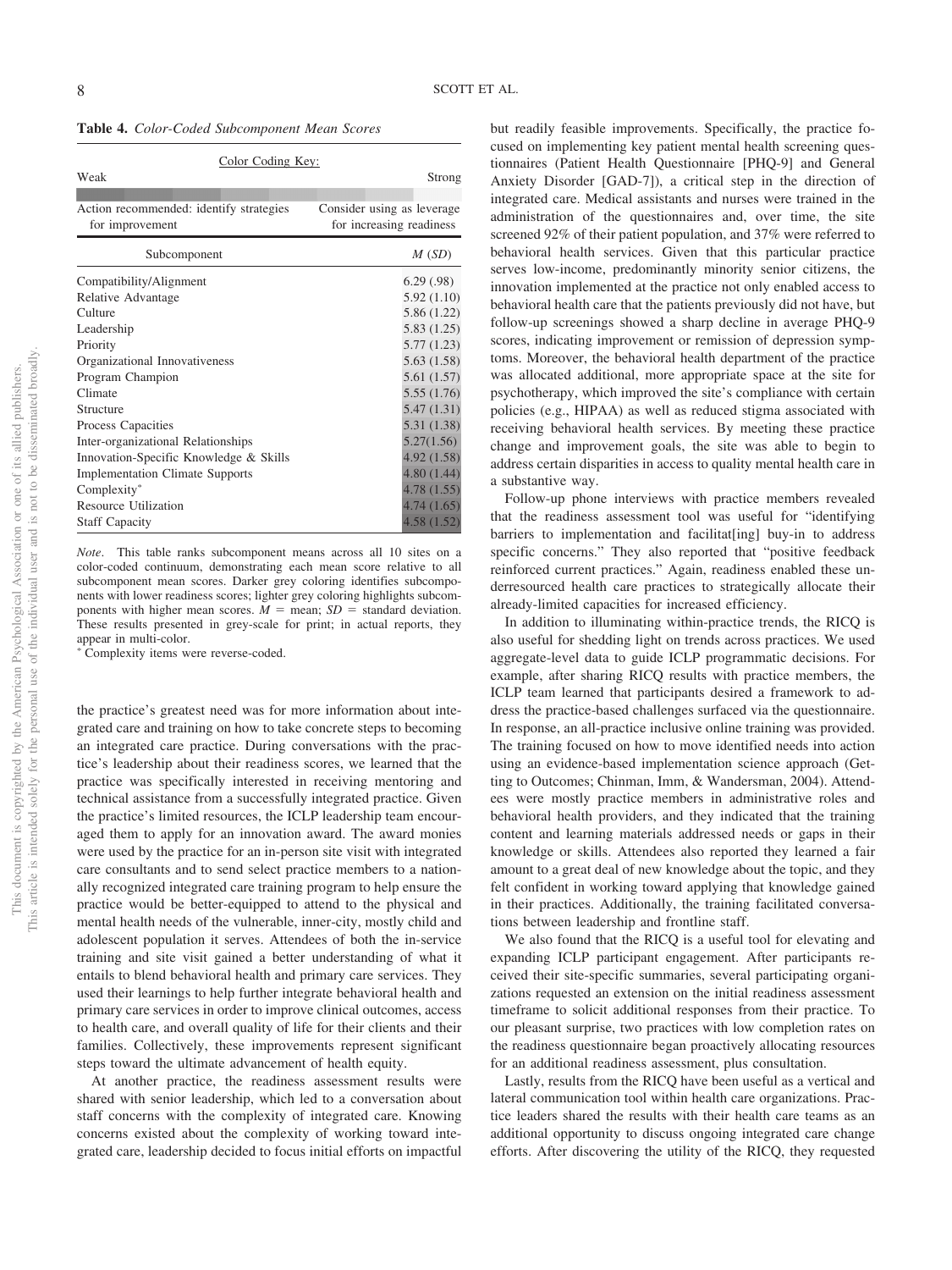<span id="page-8-0"></span>

|  | Table 4. Color-Coded Subcomponent Mean Scores |  |
|--|-----------------------------------------------|--|
|  |                                               |  |

| Color Coding Key:                       |                            |  |  |  |
|-----------------------------------------|----------------------------|--|--|--|
| Weak                                    | Strong                     |  |  |  |
|                                         |                            |  |  |  |
| Action recommended: identify strategies | Consider using as leverage |  |  |  |
| for improvement                         | for increasing readiness   |  |  |  |
| Subcomponent                            | M(SD)                      |  |  |  |
| Compatibility/Alignment                 | 6.29(.98)                  |  |  |  |
| Relative Advantage                      | 5.92(1.10)                 |  |  |  |
| Culture                                 | 5.86 (1.22)                |  |  |  |
| Leadership                              | 5.83(1.25)                 |  |  |  |
| Priority                                | 5.77(1.23)                 |  |  |  |
| Organizational Innovativeness           | 5.63(1.58)                 |  |  |  |
| Program Champion                        | 5.61(1.57)                 |  |  |  |
| Climate                                 | 5.55(1.76)                 |  |  |  |
| Structure                               | 5.47(1.31)                 |  |  |  |
| Process Capacities                      | 5.31(1.38)                 |  |  |  |
| Inter-organizational Relationships      | 5.27(1.56)                 |  |  |  |
| Innovation-Specific Knowledge & Skills  | 4.92(1.58)                 |  |  |  |
| <b>Implementation Climate Supports</b>  | 4.80(1.44)                 |  |  |  |
| Complexity*                             | 4.78(1.55)                 |  |  |  |
| <b>Resource Utilization</b>             | 4.74(1.65)                 |  |  |  |
| <b>Staff Capacity</b>                   | 4.58(1.52)                 |  |  |  |

*Note*. This table ranks subcomponent means across all 10 sites on a color-coded continuum, demonstrating each mean score relative to all subcomponent mean scores. Darker grey coloring identifies subcomponents with lower readiness scores; lighter grey coloring highlights subcomponents with higher mean scores.  $M =$  mean;  $SD =$  standard deviation. These results presented in grey-scale for print; in actual reports, they appear in multi-color.

\*Complexity items were reverse-coded.

the practice's greatest need was for more information about integrated care and training on how to take concrete steps to becoming an integrated care practice. During conversations with the practice's leadership about their readiness scores, we learned that the practice was specifically interested in receiving mentoring and technical assistance from a successfully integrated practice. Given the practice's limited resources, the ICLP leadership team encouraged them to apply for an innovation award. The award monies were used by the practice for an in-person site visit with integrated care consultants and to send select practice members to a nationally recognized integrated care training program to help ensure the practice would be better-equipped to attend to the physical and mental health needs of the vulnerable, inner-city, mostly child and adolescent population it serves. Attendees of both the in-service training and site visit gained a better understanding of what it entails to blend behavioral health and primary care services. They used their learnings to help further integrate behavioral health and primary care services in order to improve clinical outcomes, access to health care, and overall quality of life for their clients and their families. Collectively, these improvements represent significant steps toward the ultimate advancement of health equity.

At another practice, the readiness assessment results were shared with senior leadership, which led to a conversation about staff concerns with the complexity of integrated care. Knowing concerns existed about the complexity of working toward integrated care, leadership decided to focus initial efforts on impactful but readily feasible improvements. Specifically, the practice focused on implementing key patient mental health screening questionnaires (Patient Health Questionnaire [PHQ-9] and General Anxiety Disorder [GAD-7]), a critical step in the direction of integrated care. Medical assistants and nurses were trained in the administration of the questionnaires and, over time, the site screened 92% of their patient population, and 37% were referred to behavioral health services. Given that this particular practice serves low-income, predominantly minority senior citizens, the innovation implemented at the practice not only enabled access to behavioral health care that the patients previously did not have, but follow-up screenings showed a sharp decline in average PHQ-9 scores, indicating improvement or remission of depression symptoms. Moreover, the behavioral health department of the practice was allocated additional, more appropriate space at the site for psychotherapy, which improved the site's compliance with certain policies (e.g., HIPAA) as well as reduced stigma associated with receiving behavioral health services. By meeting these practice change and improvement goals, the site was able to begin to address certain disparities in access to quality mental health care in a substantive way.

Follow-up phone interviews with practice members revealed that the readiness assessment tool was useful for "identifying barriers to implementation and facilitat[ing] buy-in to address specific concerns." They also reported that "positive feedback reinforced current practices." Again, readiness enabled these underresourced health care practices to strategically allocate their already-limited capacities for increased efficiency.

In addition to illuminating within-practice trends, the RICQ is also useful for shedding light on trends across practices. We used aggregate-level data to guide ICLP programmatic decisions. For example, after sharing RICQ results with practice members, the ICLP team learned that participants desired a framework to address the practice-based challenges surfaced via the questionnaire. In response, an all-practice inclusive online training was provided. The training focused on how to move identified needs into action using an evidence-based implementation science approach (Getting to Outcomes; Chinman, Imm, & Wandersman, 2004). Attendees were mostly practice members in administrative roles and behavioral health providers, and they indicated that the training content and learning materials addressed needs or gaps in their knowledge or skills. Attendees also reported they learned a fair amount to a great deal of new knowledge about the topic, and they felt confident in working toward applying that knowledge gained in their practices. Additionally, the training facilitated conversations between leadership and frontline staff.

We also found that the RICQ is a useful tool for elevating and expanding ICLP participant engagement. After participants received their site-specific summaries, several participating organizations requested an extension on the initial readiness assessment timeframe to solicit additional responses from their practice. To our pleasant surprise, two practices with low completion rates on the readiness questionnaire began proactively allocating resources for an additional readiness assessment, plus consultation.

Lastly, results from the RICQ have been useful as a vertical and lateral communication tool within health care organizations. Practice leaders shared the results with their health care teams as an additional opportunity to discuss ongoing integrated care change efforts. After discovering the utility of the RICQ, they requested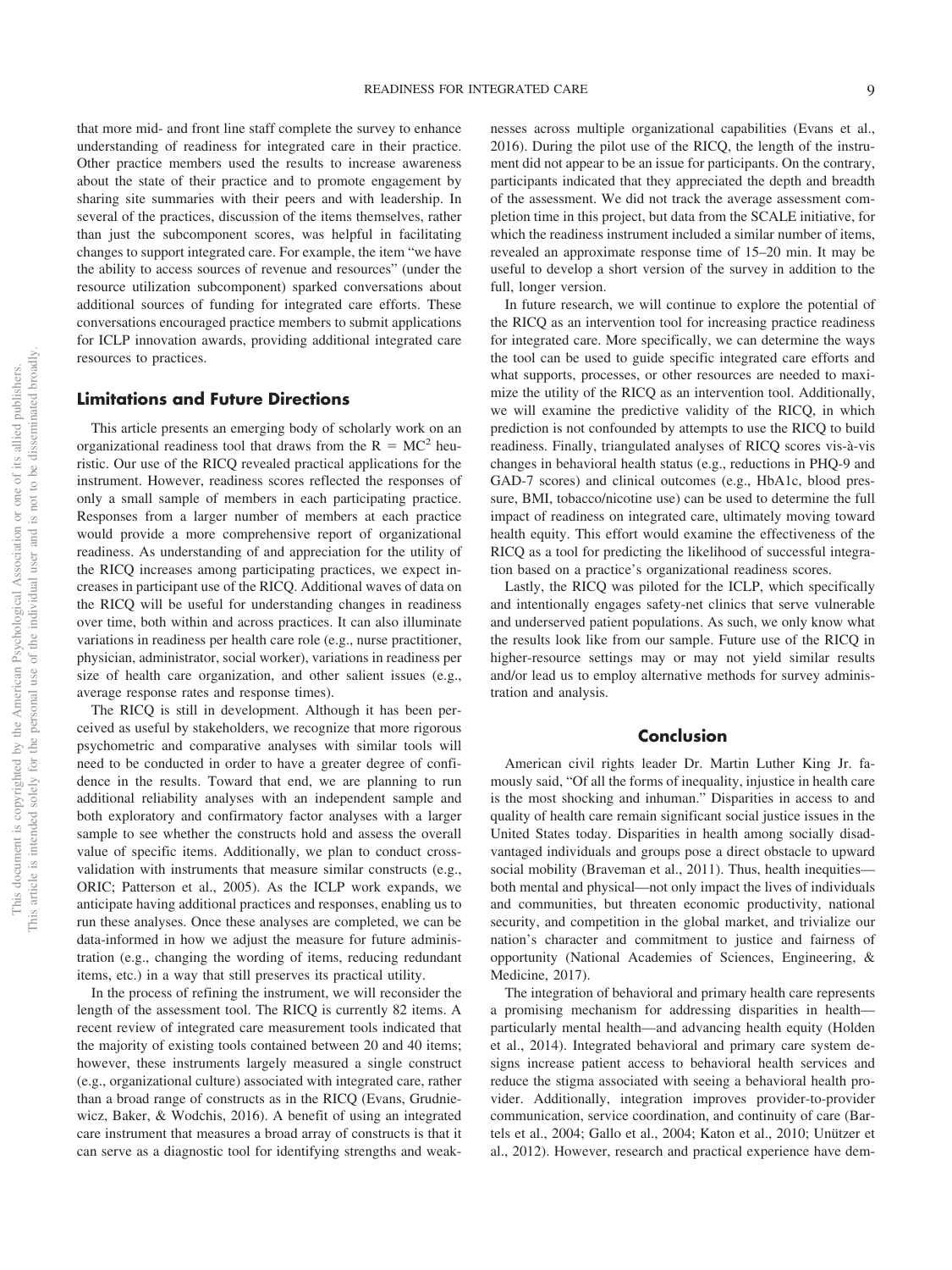that more mid- and front line staff complete the survey to enhance understanding of readiness for integrated care in their practice. Other practice members used the results to increase awareness about the state of their practice and to promote engagement by sharing site summaries with their peers and with leadership. In several of the practices, discussion of the items themselves, rather than just the subcomponent scores, was helpful in facilitating changes to support integrated care. For example, the item "we have the ability to access sources of revenue and resources" (under the resource utilization subcomponent) sparked conversations about additional sources of funding for integrated care efforts. These conversations encouraged practice members to submit applications for ICLP innovation awards, providing additional integrated care resources to practices.

# **Limitations and Future Directions**

This article presents an emerging body of scholarly work on an organizational readiness tool that draws from the  $R = MC^2$  heuristic. Our use of the RICQ revealed practical applications for the instrument. However, readiness scores reflected the responses of only a small sample of members in each participating practice. Responses from a larger number of members at each practice would provide a more comprehensive report of organizational readiness. As understanding of and appreciation for the utility of the RICQ increases among participating practices, we expect increases in participant use of the RICQ. Additional waves of data on the RICQ will be useful for understanding changes in readiness over time, both within and across practices. It can also illuminate variations in readiness per health care role (e.g., nurse practitioner, physician, administrator, social worker), variations in readiness per size of health care organization, and other salient issues (e.g., average response rates and response times).

The RICQ is still in development. Although it has been perceived as useful by stakeholders, we recognize that more rigorous psychometric and comparative analyses with similar tools will need to be conducted in order to have a greater degree of confidence in the results. Toward that end, we are planning to run additional reliability analyses with an independent sample and both exploratory and confirmatory factor analyses with a larger sample to see whether the constructs hold and assess the overall value of specific items. Additionally, we plan to conduct crossvalidation with instruments that measure similar constructs (e.g., ORIC; Patterson et al., 2005). As the ICLP work expands, we anticipate having additional practices and responses, enabling us to run these analyses. Once these analyses are completed, we can be data-informed in how we adjust the measure for future administration (e.g., changing the wording of items, reducing redundant items, etc.) in a way that still preserves its practical utility.

In the process of refining the instrument, we will reconsider the length of the assessment tool. The RICQ is currently 82 items. A recent review of integrated care measurement tools indicated that the majority of existing tools contained between 20 and 40 items; however, these instruments largely measured a single construct (e.g., organizational culture) associated with integrated care, rather than a broad range of constructs as in the RICQ (Evans, Grudniewicz, Baker, & Wodchis, 2016). A benefit of using an integrated care instrument that measures a broad array of constructs is that it can serve as a diagnostic tool for identifying strengths and weaknesses across multiple organizational capabilities (Evans et al., 2016). During the pilot use of the RICQ, the length of the instrument did not appear to be an issue for participants. On the contrary, participants indicated that they appreciated the depth and breadth of the assessment. We did not track the average assessment completion time in this project, but data from the SCALE initiative, for which the readiness instrument included a similar number of items, revealed an approximate response time of 15–20 min. It may be useful to develop a short version of the survey in addition to the full, longer version.

In future research, we will continue to explore the potential of the RICQ as an intervention tool for increasing practice readiness for integrated care. More specifically, we can determine the ways the tool can be used to guide specific integrated care efforts and what supports, processes, or other resources are needed to maximize the utility of the RICQ as an intervention tool. Additionally, we will examine the predictive validity of the RICQ, in which prediction is not confounded by attempts to use the RICQ to build readiness. Finally, triangulated analyses of RICQ scores vis-à-vis changes in behavioral health status (e.g., reductions in PHQ-9 and GAD-7 scores) and clinical outcomes (e.g., HbA1c, blood pressure, BMI, tobacco/nicotine use) can be used to determine the full impact of readiness on integrated care, ultimately moving toward health equity. This effort would examine the effectiveness of the RICQ as a tool for predicting the likelihood of successful integration based on a practice's organizational readiness scores.

Lastly, the RICQ was piloted for the ICLP, which specifically and intentionally engages safety-net clinics that serve vulnerable and underserved patient populations. As such, we only know what the results look like from our sample. Future use of the RICQ in higher-resource settings may or may not yield similar results and/or lead us to employ alternative methods for survey administration and analysis.

#### **Conclusion**

American civil rights leader Dr. Martin Luther King Jr. famously said, "Of all the forms of inequality, injustice in health care is the most shocking and inhuman." Disparities in access to and quality of health care remain significant social justice issues in the United States today. Disparities in health among socially disadvantaged individuals and groups pose a direct obstacle to upward social mobility (Braveman et al., 2011). Thus, health inequities both mental and physical—not only impact the lives of individuals and communities, but threaten economic productivity, national security, and competition in the global market, and trivialize our nation's character and commitment to justice and fairness of opportunity (National Academies of Sciences, Engineering, & Medicine, 2017).

The integration of behavioral and primary health care represents a promising mechanism for addressing disparities in health particularly mental health—and advancing health equity (Holden et al., 2014). Integrated behavioral and primary care system designs increase patient access to behavioral health services and reduce the stigma associated with seeing a behavioral health provider. Additionally, integration improves provider-to-provider communication, service coordination, and continuity of care (Bartels et al., 2004; Gallo et al., 2004; Katon et al., 2010; Unützer et al., 2012). However, research and practical experience have dem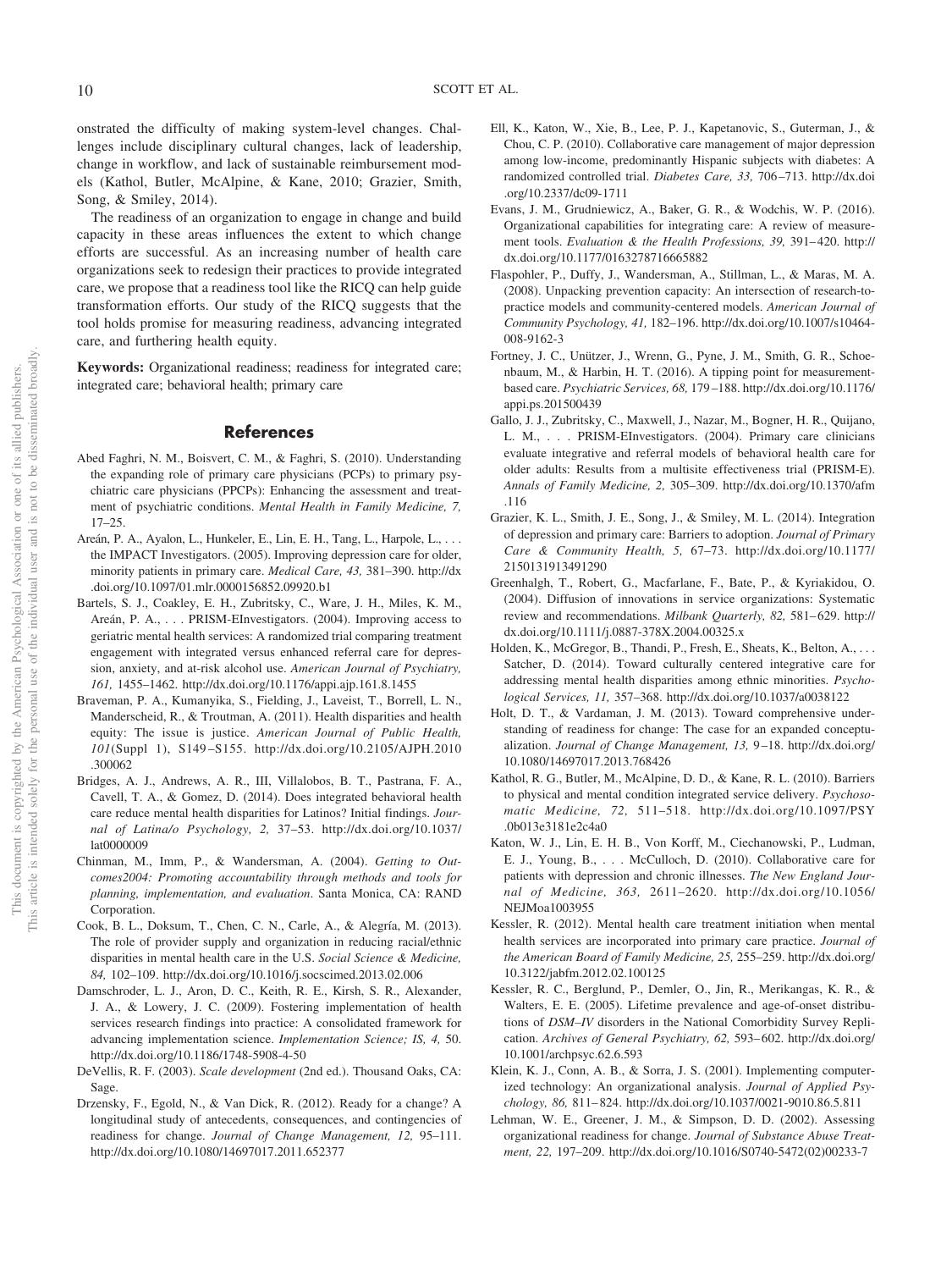onstrated the difficulty of making system-level changes. Challenges include disciplinary cultural changes, lack of leadership, change in workflow, and lack of sustainable reimbursement models (Kathol, Butler, McAlpine, & Kane, 2010; Grazier, Smith, Song, & Smiley, 2014).

The readiness of an organization to engage in change and build capacity in these areas influences the extent to which change efforts are successful. As an increasing number of health care organizations seek to redesign their practices to provide integrated care, we propose that a readiness tool like the RICQ can help guide transformation efforts. Our study of the RICQ suggests that the tool holds promise for measuring readiness, advancing integrated care, and furthering health equity.

**Keywords:** Organizational readiness; readiness for integrated care; integrated care; behavioral health; primary care

#### **References**

- Abed Faghri, N. M., Boisvert, C. M., & Faghri, S. (2010). Understanding the expanding role of primary care physicians (PCPs) to primary psychiatric care physicians (PPCPs): Enhancing the assessment and treatment of psychiatric conditions. *Mental Health in Family Medicine, 7,* 17–25.
- Areán, P. A., Ayalon, L., Hunkeler, E., Lin, E. H., Tang, L., Harpole, L., ... the IMPACT Investigators. (2005). Improving depression care for older, minority patients in primary care. *Medical Care, 43,* 381–390. [http://dx](http://dx.doi.org/10.1097/01.mlr.0000156852.09920.b1) [.doi.org/10.1097/01.mlr.0000156852.09920.b1](http://dx.doi.org/10.1097/01.mlr.0000156852.09920.b1)
- Bartels, S. J., Coakley, E. H., Zubritsky, C., Ware, J. H., Miles, K. M., Areán, P. A.,... PRISM-EInvestigators. (2004). Improving access to geriatric mental health services: A randomized trial comparing treatment engagement with integrated versus enhanced referral care for depression, anxiety, and at-risk alcohol use. *American Journal of Psychiatry, 161,* 1455–1462.<http://dx.doi.org/10.1176/appi.ajp.161.8.1455>
- Braveman, P. A., Kumanyika, S., Fielding, J., Laveist, T., Borrell, L. N., Manderscheid, R., & Troutman, A. (2011). Health disparities and health equity: The issue is justice. *American Journal of Public Health, 101*(Suppl 1), S149 –S155. [http://dx.doi.org/10.2105/AJPH.2010](http://dx.doi.org/10.2105/AJPH.2010.300062) [.300062](http://dx.doi.org/10.2105/AJPH.2010.300062)
- Bridges, A. J., Andrews, A. R., III, Villalobos, B. T., Pastrana, F. A., Cavell, T. A., & Gomez, D. (2014). Does integrated behavioral health care reduce mental health disparities for Latinos? Initial findings. *Journal of Latina/o Psychology, 2,* 37–53. [http://dx.doi.org/10.1037/](http://dx.doi.org/10.1037/lat0000009) [lat0000009](http://dx.doi.org/10.1037/lat0000009)
- Chinman, M., Imm, P., & Wandersman, A. (2004). *Getting to Outcomes2004: Promoting accountability through methods and tools for planning, implementation, and evaluation*. Santa Monica, CA: RAND Corporation.
- Cook, B. L., Doksum, T., Chen, C. N., Carle, A., & Alegría, M. (2013). The role of provider supply and organization in reducing racial/ethnic disparities in mental health care in the U.S. *Social Science & Medicine, 84,* 102–109.<http://dx.doi.org/10.1016/j.socscimed.2013.02.006>
- Damschroder, L. J., Aron, D. C., Keith, R. E., Kirsh, S. R., Alexander, J. A., & Lowery, J. C. (2009). Fostering implementation of health services research findings into practice: A consolidated framework for advancing implementation science. *Implementation Science; IS, 4,* 50. <http://dx.doi.org/10.1186/1748-5908-4-50>
- DeVellis, R. F. (2003). *Scale development* (2nd ed.). Thousand Oaks, CA: Sage.
- Drzensky, F., Egold, N., & Van Dick, R. (2012). Ready for a change? A longitudinal study of antecedents, consequences, and contingencies of readiness for change. *Journal of Change Management, 12,* 95–111. <http://dx.doi.org/10.1080/14697017.2011.652377>
- Ell, K., Katon, W., Xie, B., Lee, P. J., Kapetanovic, S., Guterman, J., & Chou, C. P. (2010). Collaborative care management of major depression among low-income, predominantly Hispanic subjects with diabetes: A randomized controlled trial. *Diabetes Care, 33,* 706 –713. [http://dx.doi](http://dx.doi.org/10.2337/dc09-1711) [.org/10.2337/dc09-1711](http://dx.doi.org/10.2337/dc09-1711)
- Evans, J. M., Grudniewicz, A., Baker, G. R., & Wodchis, W. P. (2016). Organizational capabilities for integrating care: A review of measurement tools. *Evaluation & the Health Professions, 39,* 391– 420. [http://](http://dx.doi.org/10.1177/0163278716665882) [dx.doi.org/10.1177/0163278716665882](http://dx.doi.org/10.1177/0163278716665882)
- Flaspohler, P., Duffy, J., Wandersman, A., Stillman, L., & Maras, M. A. (2008). Unpacking prevention capacity: An intersection of research-topractice models and community-centered models. *American Journal of Community Psychology, 41,* 182–196. [http://dx.doi.org/10.1007/s10464-](http://dx.doi.org/10.1007/s10464-008-9162-3) [008-9162-3](http://dx.doi.org/10.1007/s10464-008-9162-3)
- Fortney, J. C., Unützer, J., Wrenn, G., Pyne, J. M., Smith, G. R., Schoenbaum, M., & Harbin, H. T. (2016). A tipping point for measurementbased care. *Psychiatric Services, 68,* 179 –188. [http://dx.doi.org/10.1176/](http://dx.doi.org/10.1176/appi.ps.201500439) [appi.ps.201500439](http://dx.doi.org/10.1176/appi.ps.201500439)
- Gallo, J. J., Zubritsky, C., Maxwell, J., Nazar, M., Bogner, H. R., Quijano, L. M., . . . PRISM-EInvestigators. (2004). Primary care clinicians evaluate integrative and referral models of behavioral health care for older adults: Results from a multisite effectiveness trial (PRISM-E). *Annals of Family Medicine, 2,* 305–309. [http://dx.doi.org/10.1370/afm](http://dx.doi.org/10.1370/afm.116) [.116](http://dx.doi.org/10.1370/afm.116)
- Grazier, K. L., Smith, J. E., Song, J., & Smiley, M. L. (2014). Integration of depression and primary care: Barriers to adoption. *Journal of Primary Care & Community Health, 5,* 67–73. [http://dx.doi.org/10.1177/](http://dx.doi.org/10.1177/2150131913491290) [2150131913491290](http://dx.doi.org/10.1177/2150131913491290)
- Greenhalgh, T., Robert, G., Macfarlane, F., Bate, P., & Kyriakidou, O. (2004). Diffusion of innovations in service organizations: Systematic review and recommendations. *Milbank Quarterly, 82,* 581– 629. [http://](http://dx.doi.org/10.1111/j.0887-378X.2004.00325.x) [dx.doi.org/10.1111/j.0887-378X.2004.00325.x](http://dx.doi.org/10.1111/j.0887-378X.2004.00325.x)
- Holden, K., McGregor, B., Thandi, P., Fresh, E., Sheats, K., Belton, A.,... Satcher, D. (2014). Toward culturally centered integrative care for addressing mental health disparities among ethnic minorities. *Psychological Services, 11,* 357–368.<http://dx.doi.org/10.1037/a0038122>
- Holt, D. T., & Vardaman, J. M. (2013). Toward comprehensive understanding of readiness for change: The case for an expanded conceptualization. *Journal of Change Management, 13,* 9 –18. [http://dx.doi.org/](http://dx.doi.org/10.1080/14697017.2013.768426) [10.1080/14697017.2013.768426](http://dx.doi.org/10.1080/14697017.2013.768426)
- Kathol, R. G., Butler, M., McAlpine, D. D., & Kane, R. L. (2010). Barriers to physical and mental condition integrated service delivery. *Psychosomatic Medicine, 72,* 511–518. [http://dx.doi.org/10.1097/PSY](http://dx.doi.org/10.1097/PSY.0b013e3181e2c4a0) [.0b013e3181e2c4a0](http://dx.doi.org/10.1097/PSY.0b013e3181e2c4a0)
- Katon, W. J., Lin, E. H. B., Von Korff, M., Ciechanowski, P., Ludman, E. J., Young, B.,... McCulloch, D. (2010). Collaborative care for patients with depression and chronic illnesses. *The New England Journal of Medicine, 363,* 2611–2620. [http://dx.doi.org/10.1056/](http://dx.doi.org/10.1056/NEJMoa1003955) [NEJMoa1003955](http://dx.doi.org/10.1056/NEJMoa1003955)
- Kessler, R. (2012). Mental health care treatment initiation when mental health services are incorporated into primary care practice. *Journal of the American Board of Family Medicine, 25,* 255–259. [http://dx.doi.org/](http://dx.doi.org/10.3122/jabfm.2012.02.100125) [10.3122/jabfm.2012.02.100125](http://dx.doi.org/10.3122/jabfm.2012.02.100125)
- Kessler, R. C., Berglund, P., Demler, O., Jin, R., Merikangas, K. R., & Walters, E. E. (2005). Lifetime prevalence and age-of-onset distributions of *DSM–IV* disorders in the National Comorbidity Survey Replication. *Archives of General Psychiatry, 62,* 593– 602. [http://dx.doi.org/](http://dx.doi.org/10.1001/archpsyc.62.6.593) [10.1001/archpsyc.62.6.593](http://dx.doi.org/10.1001/archpsyc.62.6.593)
- Klein, K. J., Conn, A. B., & Sorra, J. S. (2001). Implementing computerized technology: An organizational analysis. *Journal of Applied Psychology, 86,* 811– 824.<http://dx.doi.org/10.1037/0021-9010.86.5.811>
- Lehman, W. E., Greener, J. M., & Simpson, D. D. (2002). Assessing organizational readiness for change. *Journal of Substance Abuse Treatment, 22,* 197–209. [http://dx.doi.org/10.1016/S0740-5472\(02\)00233-7](http://dx.doi.org/10.1016/S0740-5472%2802%2900233-7)